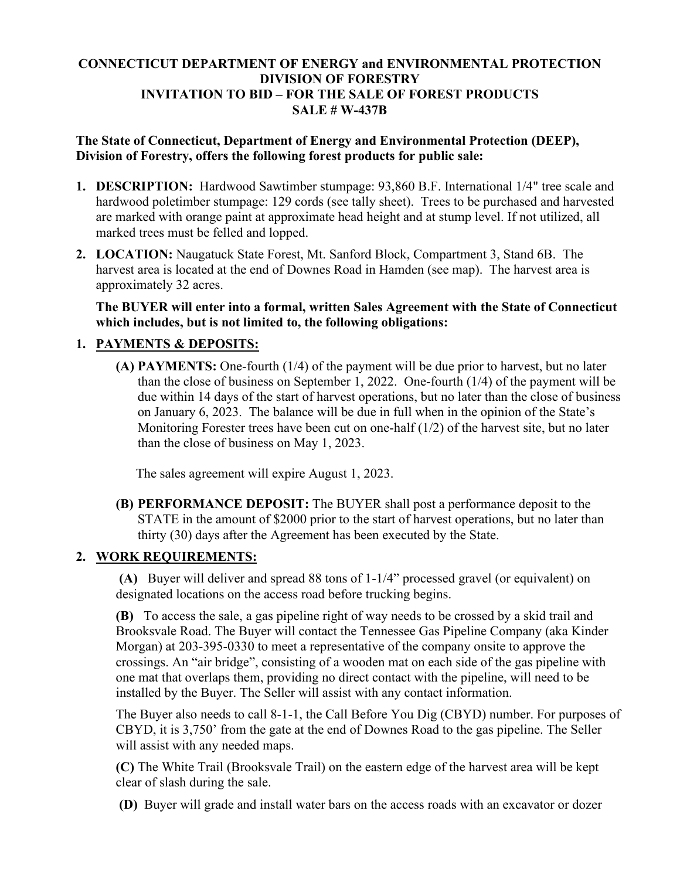## **CONNECTICUT DEPARTMENT OF ENERGY and ENVIRONMENTAL PROTECTION DIVISION OF FORESTRY INVITATION TO BID – FOR THE SALE OF FOREST PRODUCTS SALE # W-437B**

## **The State of Connecticut, Department of Energy and Environmental Protection (DEEP), Division of Forestry, offers the following forest products for public sale:**

- **1. DESCRIPTION:** Hardwood Sawtimber stumpage: 93,860 B.F. International 1/4" tree scale and hardwood poletimber stumpage: 129 cords (see tally sheet). Trees to be purchased and harvested are marked with orange paint at approximate head height and at stump level. If not utilized, all marked trees must be felled and lopped.
- **2. LOCATION:** Naugatuck State Forest, Mt. Sanford Block, Compartment 3, Stand 6B. The harvest area is located at the end of Downes Road in Hamden (see map). The harvest area is approximately 32 acres.

**The BUYER will enter into a formal, written Sales Agreement with the State of Connecticut which includes, but is not limited to, the following obligations:**

## **1. PAYMENTS & DEPOSITS:**

**(A) PAYMENTS:** One-fourth (1/4) of the payment will be due prior to harvest, but no later than the close of business on September 1, 2022. One-fourth (1/4) of the payment will be due within 14 days of the start of harvest operations, but no later than the close of business on January 6, 2023. The balance will be due in full when in the opinion of the State's Monitoring Forester trees have been cut on one-half (1/2) of the harvest site, but no later than the close of business on May 1, 2023.

The sales agreement will expire August 1, 2023.

**(B) PERFORMANCE DEPOSIT:** The BUYER shall post a performance deposit to the STATE in the amount of \$2000 prior to the start of harvest operations, but no later than thirty (30) days after the Agreement has been executed by the State.

## **2. WORK REQUIREMENTS:**

**(A)** Buyer will deliver and spread 88 tons of 1-1/4" processed gravel (or equivalent) on designated locations on the access road before trucking begins.

**(B)** To access the sale, a gas pipeline right of way needs to be crossed by a skid trail and Brooksvale Road. The Buyer will contact the Tennessee Gas Pipeline Company (aka Kinder Morgan) at 203-395-0330 to meet a representative of the company onsite to approve the crossings. An "air bridge", consisting of a wooden mat on each side of the gas pipeline with one mat that overlaps them, providing no direct contact with the pipeline, will need to be installed by the Buyer. The Seller will assist with any contact information.

The Buyer also needs to call 8-1-1, the Call Before You Dig (CBYD) number. For purposes of CBYD, it is 3,750' from the gate at the end of Downes Road to the gas pipeline. The Seller will assist with any needed maps.

**(C)** The White Trail (Brooksvale Trail) on the eastern edge of the harvest area will be kept clear of slash during the sale.

**(D)** Buyer will grade and install water bars on the access roads with an excavator or dozer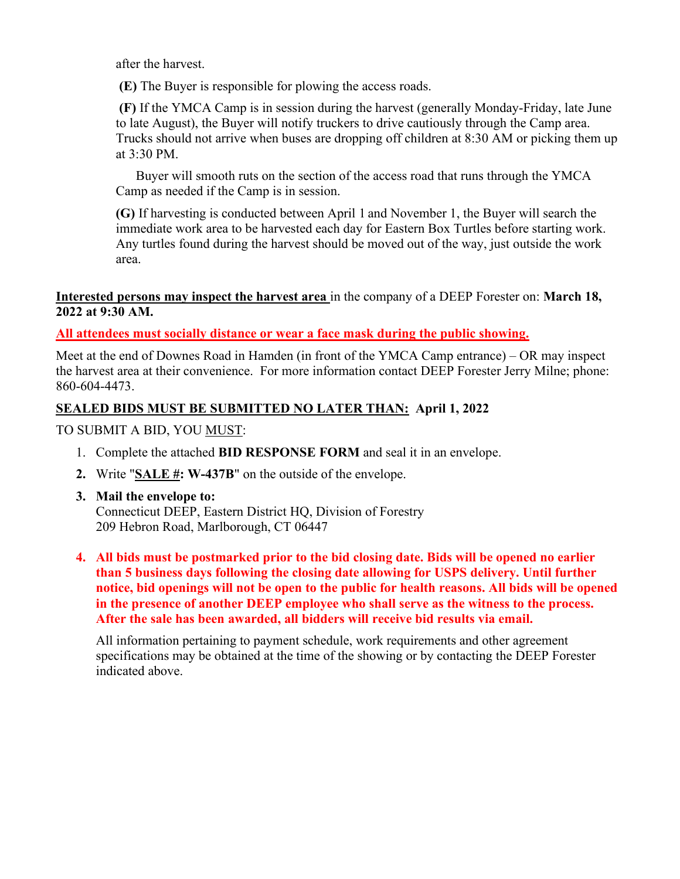after the harvest.

**(E)** The Buyer is responsible for plowing the access roads.

 **(F)** If the YMCA Camp is in session during the harvest (generally Monday-Friday, late June to late August), the Buyer will notify truckers to drive cautiously through the Camp area. Trucks should not arrive when buses are dropping off children at 8:30 AM or picking them up at 3:30 PM.

Buyer will smooth ruts on the section of the access road that runs through the YMCA Camp as needed if the Camp is in session.

**(G)** If harvesting is conducted between April 1 and November 1, the Buyer will search the immediate work area to be harvested each day for Eastern Box Turtles before starting work. Any turtles found during the harvest should be moved out of the way, just outside the work area.

## **Interested persons may inspect the harvest area** in the company of a DEEP Forester on: **March 18, 2022 at 9:30 AM.**

**All attendees must socially distance or wear a face mask during the public showing.** 

Meet at the end of Downes Road in Hamden (in front of the YMCA Camp entrance) – OR may inspect the harvest area at their convenience. For more information contact DEEP Forester Jerry Milne; phone: 860-604-4473.

# **SEALED BIDS MUST BE SUBMITTED NO LATER THAN: April 1, 2022**

TO SUBMIT A BID, YOU MUST:

- 1. Complete the attached **BID RESPONSE FORM** and seal it in an envelope.
- **2.** Write "**SALE #: W-437B**" on the outside of the envelope.
- **3. Mail the envelope to:** Connecticut DEEP, Eastern District HQ, Division of Forestry 209 Hebron Road, Marlborough, CT 06447
- **4. All bids must be postmarked prior to the bid closing date. Bids will be opened no earlier than 5 business days following the closing date allowing for USPS delivery. Until further notice, bid openings will not be open to the public for health reasons. All bids will be opened in the presence of another DEEP employee who shall serve as the witness to the process. After the sale has been awarded, all bidders will receive bid results via email.**

All information pertaining to payment schedule, work requirements and other agreement specifications may be obtained at the time of the showing or by contacting the DEEP Forester indicated above.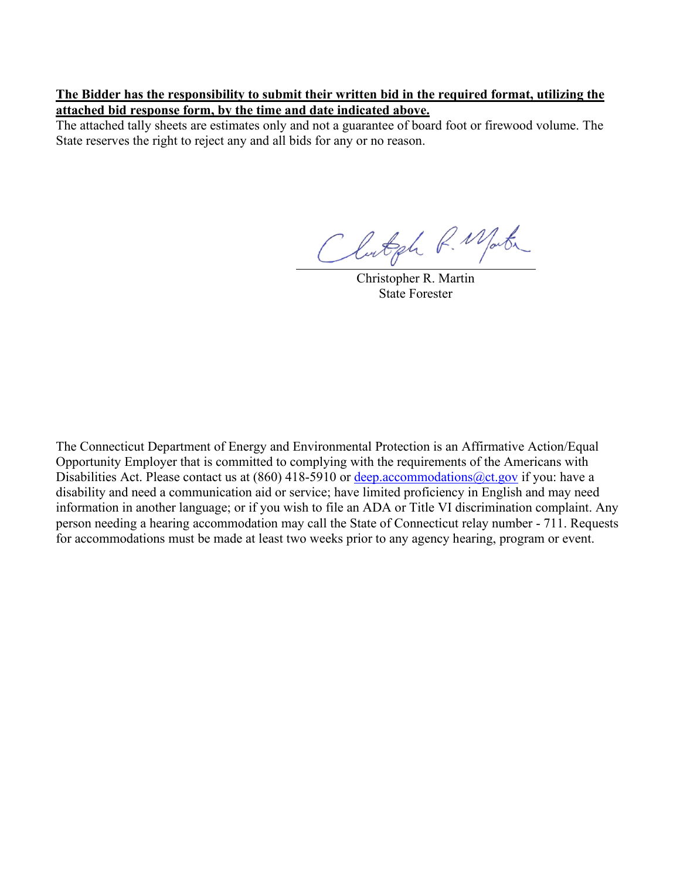#### **The Bidder has the responsibility to submit their written bid in the required format, utilizing the attached bid response form, by the time and date indicated above.**

The attached tally sheets are estimates only and not a guarantee of board foot or firewood volume. The State reserves the right to reject any and all bids for any or no reason.

Clutgh R. Martin

Christopher R. Martin State Forester

The Connecticut Department of Energy and Environmental Protection is an Affirmative Action/Equal Opportunity Employer that is committed to complying with the requirements of the Americans with Disabilities Act. Please contact us at (860) 418-5910 or deep. accommodations @ct.gov if you: have a disability and need a communication aid or service; have limited proficiency in English and may need information in another language; or if you wish to file an ADA or Title VI discrimination complaint. Any person needing a hearing accommodation may call the State of Connecticut relay number - 711. Requests for accommodations must be made at least two weeks prior to any agency hearing, program or event.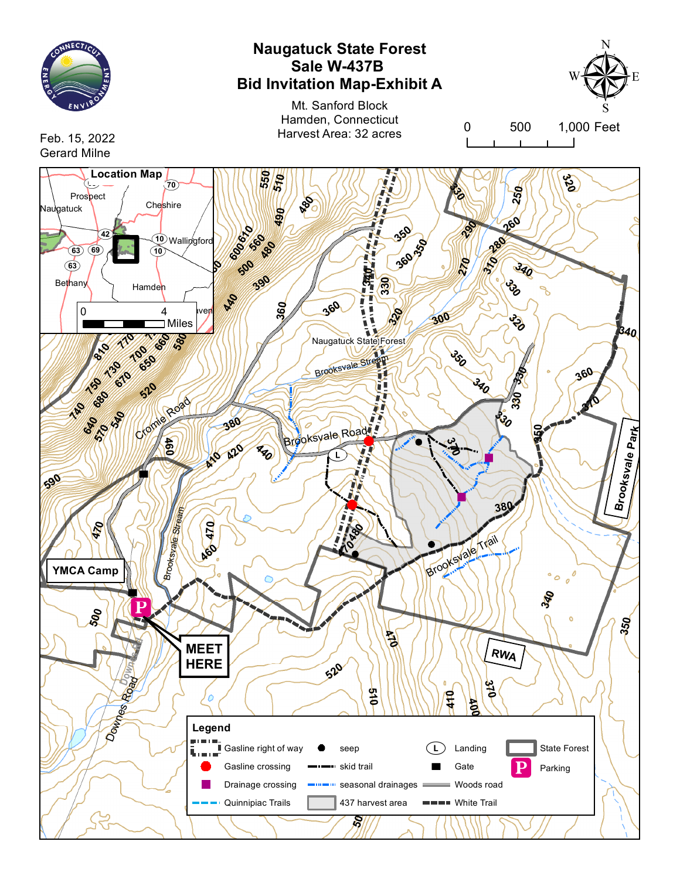

# **Naugatuck State Forest Sale W-437B Bid Invitation Map-Exhibit A**

Mt. Sanford Block Hamden, Connecticut Harvest Area: 32 acres



0 500 1,000 Feet

Feb. 15, 2022 Gerard Milne

**Location Map**<br>  $\begin{pmatrix} 1 & 0 \\ 0 & 0 \end{pmatrix}$ **51 0 550 320 870** Prospect **60 250 810** Cheshire **RE 870 330 7880 850** Naugatuck **490 840 <sup>820</sup> 260 350** 290 — **42** Wallingford **560 600610 280 350 83 180** (10) **340 100 360 270 340** SV**63 500 8 390 330 1 3 3 0** Bethany Hamden **440 09**T —<br>• **360 860**<br> **820**<br> **820**<br> **820**<br> **820 7 690 360 120** i<br>i ī 0 4<br>**Millenge 1980**<br>SV<sub>2</sub>2 4 Millenge 1980 **300 530** <mark>र</mark>े **780** í **830** Miles **720 340** Naugatuck State Forest **580 770 660 810 350 100** Brooksvale Stream **650 730 360 230 670 340 150** Ŭ **520 330 680 370 570** Cromine Road **740 540 380 ্য 640** Brooksvale Road **350Park** نې<br>خ **420 6 0 410 420 ksvale 590 Broo 380** Strea m **470 47 098 YMCA Camp** Brooks V Later Trail Brooksvale **994 470 340 500 350 470 Rd MEET RWA Downes HERE 520** Road **370 510 410** Ċ Downest <u>ង</u> **Legend**  $\frac{1}{\sqrt{2}}$ Gasline right of way **Landing** State Forest П seep ī, **53** Gasline crossing **...** skid trail **Gate** Parking Drainage crossing seasonal drainages **430** Woods road Quinnipiac Trails 437 harvest area **B** White Trail **500**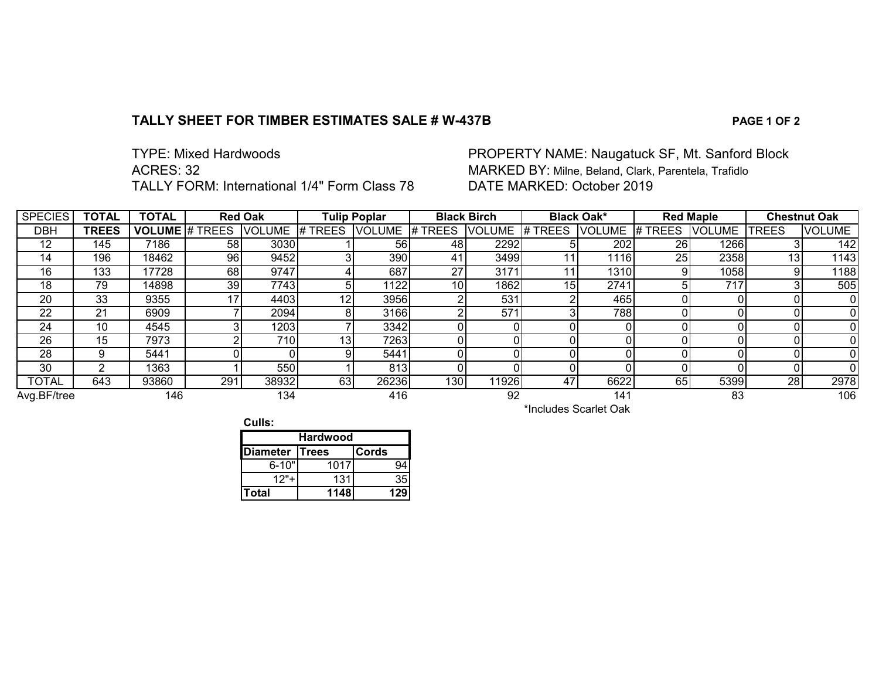## **TALLY SHEET FOR TIMBER ESTIMATES SALE # W-437B PAGE 1 OF 2**

| <b>TYPE: Mixed Hardwoods</b>                        |
|-----------------------------------------------------|
| ACRES: 32                                           |
| <b>TALLY FORM: International 1/4" Form Class 78</b> |

## PROPERTY NAME: Naugatuck SF, Mt. Sanford Block MARKED BY: Milne, Beland, Clark, Parentela, Trafidlo DATE MARKED: October 2019

| <b>SPECIES</b> | <b>TOTAL</b> | <b>TOTAL</b>        | <b>Red Oak</b> |               |         | <b>Tulip Poplar</b> |                       | <b>Black Birch</b> |                 | <b>Black Oak*</b> |           | <b>Red Maple</b> |                 | <b>Chestnut Oak</b> |
|----------------|--------------|---------------------|----------------|---------------|---------|---------------------|-----------------------|--------------------|-----------------|-------------------|-----------|------------------|-----------------|---------------------|
| <b>DBH</b>     | <b>TREES</b> | VOLUME <sup>#</sup> | <b>TREES</b>   | <b>VOLUME</b> | # TREES | <b>VOLUME</b>       | # TREES               | <b>VOLUME</b>      | $H$ TREES       | <b>VOLUME</b>     | # TREES   | <b>VOLUME</b>    | <b>TREES</b>    | <b>VOLUME</b>       |
| 12             | 145          | 7186                | 58             | 3030          |         | 56                  | 48                    | 2292               |                 | 202               | <b>26</b> | 1266             |                 | 142                 |
| 14             | 196          | 18462               | 96             | 9452          |         | 390                 | 41                    | 3499               |                 | 1116              | 25        | 2358             | 13 <sub>l</sub> | 1143                |
| 16             | 133          | 17728               | 68             | 9747          |         | 687                 | 27                    | 3171               |                 | 1310              |           | 1058             | 9               | 1188                |
| 18             | 79           | 14898               | 39             | 7743          | 5       | 1122                | 10 <sub>l</sub>       | 1862               | 15 <sub>l</sub> | 2741              |           | 717              |                 | 505                 |
| 20             | 33           | 9355                | 17             | 4403          | 12      | 3956                | ⌒                     | 531                |                 | 465               |           |                  |                 |                     |
| 22             | 21           | 6909                |                | 2094          | 8       | 3166                | n                     | 571                |                 | 788               |           |                  |                 |                     |
| 24             | 10           | 4545                |                | 1203          |         | 3342                |                       |                    |                 |                   |           |                  |                 |                     |
| 26             | 15           | 7973                | c              | 710           | 13      | 7263                |                       |                    |                 |                   |           |                  |                 |                     |
| 28             | 9            | 5441                |                |               | 9       | 5441                |                       |                    |                 |                   |           |                  |                 |                     |
| 30             |              | 1363                |                | 550           |         | 813                 |                       |                    |                 |                   |           |                  | ΩI              |                     |
| <b>TOTAL</b>   | 643          | 93860               | 291            | 38932         | 63      | 26236               | 130 <sup>°</sup>      | 1926               | 47              | 6622              | 65        | 5399             | 28 <sub>l</sub> | 2978                |
| Avg.BF/tree    |              | 146                 |                | 134           |         | 416                 |                       | 92                 |                 | 141               |           | 83               |                 | 106                 |
|                |              |                     |                |               |         |                     | *Includes Scarlet Oak |                    |                 |                   |           |                  |                 |                     |

**Culls:**

| <b>Hardwood</b> |      |       |  |  |  |
|-----------------|------|-------|--|--|--|
| Diameter Trees  |      | Cords |  |  |  |
| $6 - 10"$       | 1017 |       |  |  |  |
| 1つ"             | 131  | 35    |  |  |  |
| Total           | 1148 |       |  |  |  |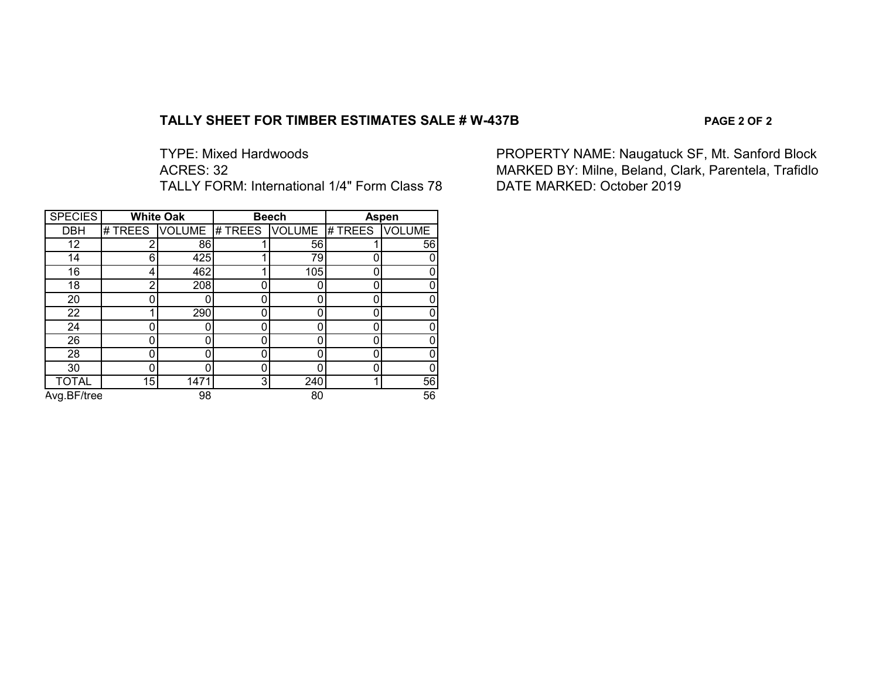#### **TALLY SHEET FOR TIMBER ESTIMATES SALE # W-437B PAGE 2 OF 2**

TALLY FORM: International 1/4" Form Class 78

| <b>SPECIES</b> |         | <b>White Oak</b> |                       | <b>Beech</b> | Aspen   |               |  |
|----------------|---------|------------------|-----------------------|--------------|---------|---------------|--|
| <b>DBH</b>     | # TREES |                  | VOLUME # TREES VOLUME |              | # TREES | <b>VOLUME</b> |  |
| 12             | 2       | 86               |                       | 56           |         | 56            |  |
| 14             | 6       | 425              |                       | 79           |         |               |  |
| 16             | 4       | 462              |                       | 105          |         |               |  |
| 18             | 2       | 208              |                       |              |         |               |  |
| 20             | 0       |                  |                       | 0            |         |               |  |
| 22             |         | 290              |                       | Ω            |         |               |  |
| 24             | ი       |                  |                       | 0            |         |               |  |
| 26             | 0       |                  |                       | 0            |         |               |  |
| 28             | 0       |                  |                       | 0            |         |               |  |
| 30             |         |                  |                       |              |         |               |  |
| <b>TOTAL</b>   | 15      | 1471             | 3 <sub>l</sub>        | 240          |         | 56            |  |
| Avg.BF/tree    |         | 98               |                       | 80           |         | 56            |  |

TYPE: Mixed Hardwoods **PROPERTY NAME: Naugatuck SF, Mt. Sanford Block**<br>ACRES: 32 MARKED BY: Milne, Beland, Clark, Parentela, Trafidlo<br>DATE MARKED: October 2019